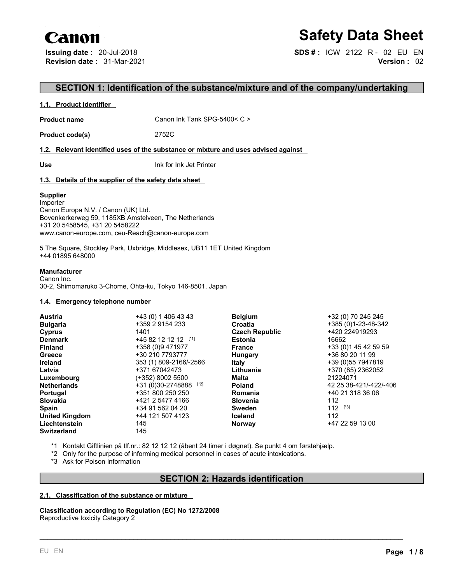# Canon

# **Safety Data Sheet**

**Issuing date :** 20-Jul-2018 **SDS # :** ICW 2122 R - 02 EU EN **Revision date :** 31-Mar-2021 **Version :** 02

# **SECTION 1: Identification of the substance/mixture and of the company/undertaking**

#### **1.1. Product identifier**

**Product name** Canon Ink Tank SPG-5400< C >

**Product code(s)** 2752C

### **1.2. Relevant identified uses of the substance or mixture and uses advised against**

**Use** Ink for Ink Jet Printer

## **1.3. Details of the supplier of the safety data sheet**

## **Supplier**

Importer Canon Europa N.V. / Canon (UK) Ltd. Bovenkerkerweg 59, 1185XB Amstelveen, The Netherlands +31 20 5458545, +31 20 5458222 www.canon-europe.com, ceu-Reach@canon-europe.com

5 The Square, Stockley Park, Uxbridge, Middlesex, UB11 1ET United Kingdom +44 01895 648000

#### **Manufacturer**

Canon Inc. 30-2, Shimomaruko 3-Chome, Ohta-ku, Tokyo 146-8501, Japan

#### **1.4. Emergency telephone number**

| Austria               | +43 (0) 1 406 43 43     | <b>Belgium</b>        | +32 (0) 70 245 245     |
|-----------------------|-------------------------|-----------------------|------------------------|
| <b>Bulgaria</b>       | +359 2 9154 233         | Croatia               | +385 (0) 1-23-48-342   |
| Cyprus                | 1401                    | <b>Czech Republic</b> | +420 224919293         |
| <b>Denmark</b>        | +45 82 12 12 12 [*1]    | <b>Estonia</b>        | 16662                  |
| <b>Finland</b>        | +358 (0)9 471977        | <b>France</b>         | +33 (0) 145 42 59 59   |
| Greece                | +30 210 7793777         | <b>Hungary</b>        | +36 80 20 11 99        |
| <b>Ireland</b>        | 353 (1) 809-2166/-2566  | <b>Italy</b>          | +39 (0) 55 7947819     |
| Latvia                | +371 67042473           | Lithuania             | +370 (85) 2362052      |
| Luxembourg            | (+352) 8002 5500        | Malta                 | 21224071               |
| <b>Netherlands</b>    | $+31(0)30-2748888$ [*2] | <b>Poland</b>         | 42 25 38-421/-422/-406 |
| Portugal              | +351 800 250 250        | Romania               | +40 21 318 36 06       |
| <b>Slovakia</b>       | +421 2 5477 4166        | Slovenia              | 112                    |
| <b>Spain</b>          | +34 91 562 04 20        | Sweden                | $112$ [*3]             |
| <b>United Kingdom</b> | +44 121 507 4123        | <b>Iceland</b>        | 112                    |
| Liechtenstein         | 145                     | <b>Norway</b>         | +47 22 59 13 00        |
| <b>Switzerland</b>    | 145                     |                       |                        |

- \*1 Kontakt Giftlinien på tlf.nr.: 82 12 12 12 (åbent 24 timer i døgnet). Se punkt 4 om førstehjælp.
- \*2 Only forthe purpose of informing medical personnel in cases of acute intoxications.
- \*3 Ask for Poison Information

# **SECTION 2: Hazards identification**

\_\_\_\_\_\_\_\_\_\_\_\_\_\_\_\_\_\_\_\_\_\_\_\_\_\_\_\_\_\_\_\_\_\_\_\_\_\_\_\_\_\_\_\_\_\_\_\_\_\_\_\_\_\_\_\_\_\_\_\_\_\_\_\_\_\_\_\_\_\_\_\_\_\_\_\_\_\_\_\_\_\_\_\_\_\_\_\_\_

## **2.1. Classification of the substance or mixture**

**Classification according to Regulation (EC) No 1272/2008** Reproductive toxicity Category 2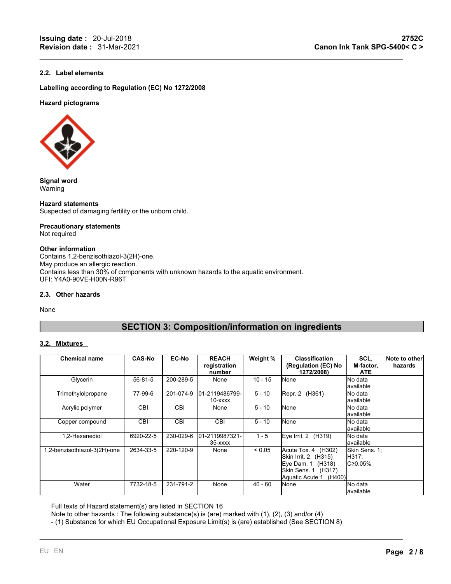## **2.2. Label elements**

**Labelling according to Regulation (EC) No 1272/2008**

#### **Hazard pictograms**



**Signal word** Warning

**Hazard statements** Suspected of damaging fertility or the unborn child.

# **Precautionary statements**

Not required

#### **Other information**

Contains 1,2-benzisothiazol-3(2H)-one. May produce an allergic reaction. Contains less than 30% of components with unknown hazards to the aquatic environment. UFI: Y4A0-90VE-H00N-R96T

#### **2.3. Other hazards**

None

# **SECTION 3: Composition/information on ingredients**

 $\mathcal{L}_\mathcal{L} = \mathcal{L}_\mathcal{L} = \mathcal{L}_\mathcal{L} = \mathcal{L}_\mathcal{L} = \mathcal{L}_\mathcal{L} = \mathcal{L}_\mathcal{L} = \mathcal{L}_\mathcal{L} = \mathcal{L}_\mathcal{L} = \mathcal{L}_\mathcal{L} = \mathcal{L}_\mathcal{L} = \mathcal{L}_\mathcal{L} = \mathcal{L}_\mathcal{L} = \mathcal{L}_\mathcal{L} = \mathcal{L}_\mathcal{L} = \mathcal{L}_\mathcal{L} = \mathcal{L}_\mathcal{L} = \mathcal{L}_\mathcal{L}$ 

### **3.2. Mixtures**

| <b>Chemical name</b>         | <b>CAS-No</b> | <b>EC-No</b> | <b>REACH</b><br>registration<br>number | Weight %    | <b>Classification</b><br>(Regulation (EC) No<br>1272/2008)                                                           | SCL.<br>M-factor,<br><b>ATE</b>                        | Note to other<br>hazards |
|------------------------------|---------------|--------------|----------------------------------------|-------------|----------------------------------------------------------------------------------------------------------------------|--------------------------------------------------------|--------------------------|
| Glycerin                     | 56-81-5       | 200-289-5    | None                                   | $10 - 15$   | <b>None</b>                                                                                                          | <b>No data</b><br>lavailable                           |                          |
| Trimethylolpropane           | 77-99-6       | 201-074-9    | 101-2119486799-<br>10-xxxx             | $5 - 10$    | Repr. 2 (H361)                                                                                                       | <b>No data</b><br>lavailable                           |                          |
| Acrylic polymer              | <b>CBI</b>    | <b>CBI</b>   | None                                   | 5 - 10      | <b>None</b>                                                                                                          | <b>No data</b><br>lavailable                           |                          |
| Copper compound              | <b>CBI</b>    | <b>CBI</b>   | <b>CBI</b>                             | $5 - 10$    | <b>None</b>                                                                                                          | <b>No data</b><br>lavailable                           |                          |
| 1.2-Hexanediol               | 6920-22-5     | 230-029-6    | 101-2119987321-<br>$35 - XXXX$         | $1 - 5$     | Eye Irrit. $2$ (H319)                                                                                                | <b>No data</b><br>lavailable                           |                          |
| 1,2-benzisothiazol-3(2H)-one | 2634-33-5     | 220-120-9    | None                                   | ${}_{0.05}$ | Acute Tox. 4 (H302)<br>Skin Irrit. 2 (H315)<br>Eye Dam. 1 (H318)<br>Skin Sens. 1 (H317)<br>Aquatic Acute 1<br>(H400) | Skin Sens. 1:<br><b>IH317:</b><br>IC <sub>20.05%</sub> |                          |
| Water                        | 7732-18-5     | 231-791-2    | None                                   | $40 - 60$   | <b>None</b>                                                                                                          | <b>No data</b><br>lavailable                           |                          |

\_\_\_\_\_\_\_\_\_\_\_\_\_\_\_\_\_\_\_\_\_\_\_\_\_\_\_\_\_\_\_\_\_\_\_\_\_\_\_\_\_\_\_\_\_\_\_\_\_\_\_\_\_\_\_\_\_\_\_\_\_\_\_\_\_\_\_\_\_\_\_\_\_\_\_\_\_\_\_\_\_\_\_\_\_\_\_\_\_

Full texts of Hazard statement(s) are listed in SECTION 16

Note to other hazards : The following substance(s) is (are) marked with (1), (2), (3) and/or (4)

- (1) Substance for which EU Occupational Exposure Limit(s) is (are) established (See SECTION 8)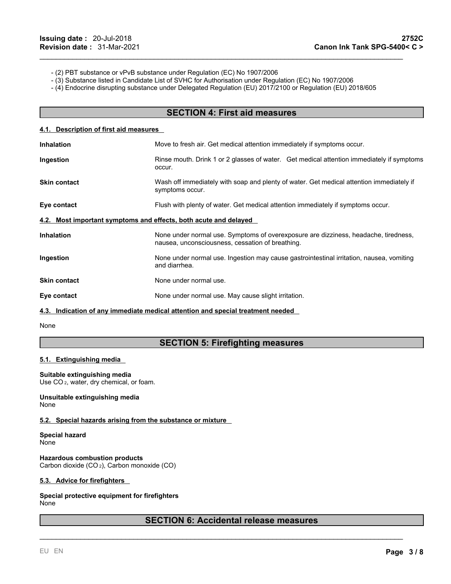- (2) PBT substance or vPvB substance under Regulation (EC) No 1907/2006
- (3) Substance listed in Candidate List of SVHC for Authorisation under Regulation (EC) No 1907/2006
- (4) Endocrine disrupting substance under Delegated Regulation (EU) 2017/2100 or Regulation (EU) 2018/605

## **SECTION 4: First aid measures**

 $\mathcal{L}_\mathcal{L} = \mathcal{L}_\mathcal{L} = \mathcal{L}_\mathcal{L} = \mathcal{L}_\mathcal{L} = \mathcal{L}_\mathcal{L} = \mathcal{L}_\mathcal{L} = \mathcal{L}_\mathcal{L} = \mathcal{L}_\mathcal{L} = \mathcal{L}_\mathcal{L} = \mathcal{L}_\mathcal{L} = \mathcal{L}_\mathcal{L} = \mathcal{L}_\mathcal{L} = \mathcal{L}_\mathcal{L} = \mathcal{L}_\mathcal{L} = \mathcal{L}_\mathcal{L} = \mathcal{L}_\mathcal{L} = \mathcal{L}_\mathcal{L}$ 

#### **4.1. Description of first aid measures**

| <b>Inhalation</b>                                                | Move to fresh air. Get medical attention immediately if symptoms occur.                                                                 |  |  |  |
|------------------------------------------------------------------|-----------------------------------------------------------------------------------------------------------------------------------------|--|--|--|
| Ingestion                                                        | Rinse mouth. Drink 1 or 2 glasses of water. Get medical attention immediately if symptoms<br>occur.                                     |  |  |  |
| <b>Skin contact</b>                                              | Wash off immediately with soap and plenty of water. Get medical attention immediately if<br>symptoms occur.                             |  |  |  |
| Eye contact                                                      | Flush with plenty of water. Get medical attention immediately if symptoms occur.                                                        |  |  |  |
| 4.2. Most important symptoms and effects, both acute and delayed |                                                                                                                                         |  |  |  |
| <b>Inhalation</b>                                                | None under normal use. Symptoms of overexposure are dizziness, headache, tiredness,<br>nausea, unconsciousness, cessation of breathing. |  |  |  |
| Ingestion                                                        | None under normal use. Ingestion may cause gastrointestinal irritation, nausea, vomiting<br>and diarrhea.                               |  |  |  |
| <b>Skin contact</b>                                              | None under normal use.                                                                                                                  |  |  |  |
| Eye contact                                                      | None under normal use. May cause slight irritation.                                                                                     |  |  |  |
|                                                                  | 4.3. Indication of any immediate medical attention and special treatment needed                                                         |  |  |  |

None

# **SECTION 5: Firefighting measures**

#### **5.1. Extinguishing media**

#### **Suitable extinguishing media**

Use CO <sup>2</sup>, water, dry chemical, or foam.

#### **Unsuitable extinguishing media** None

#### **5.2. Special hazards arising from the substance or mixture**

**Special hazard** None

**Hazardous combustion products** Carbon dioxide (CO <sup>2</sup>), Carbon monoxide (CO)

#### **5.3. Advice for firefighters**

**Special protective equipment for firefighters** None

# **SECTION 6: Accidental release measures**

\_\_\_\_\_\_\_\_\_\_\_\_\_\_\_\_\_\_\_\_\_\_\_\_\_\_\_\_\_\_\_\_\_\_\_\_\_\_\_\_\_\_\_\_\_\_\_\_\_\_\_\_\_\_\_\_\_\_\_\_\_\_\_\_\_\_\_\_\_\_\_\_\_\_\_\_\_\_\_\_\_\_\_\_\_\_\_\_\_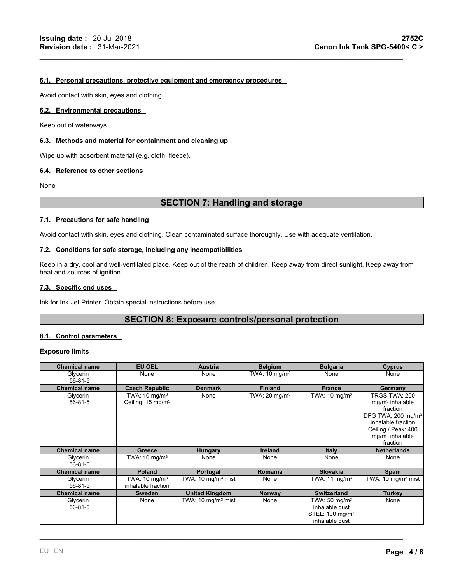#### **6.1. Personal precautions, protective equipment and emergency procedures**

Avoid contact with skin, eyes and clothing.

#### **6.2. Environmental precautions**

Keep out of waterways.

#### **6.3. Methods and material for containment and cleaning up**

Wipe up with adsorbent material (e.g. cloth, fleece).

#### **6.4. Reference to other sections**

None

# **SECTION 7: Handling and storage**

 $\mathcal{L}_\mathcal{L} = \mathcal{L}_\mathcal{L} = \mathcal{L}_\mathcal{L} = \mathcal{L}_\mathcal{L} = \mathcal{L}_\mathcal{L} = \mathcal{L}_\mathcal{L} = \mathcal{L}_\mathcal{L} = \mathcal{L}_\mathcal{L} = \mathcal{L}_\mathcal{L} = \mathcal{L}_\mathcal{L} = \mathcal{L}_\mathcal{L} = \mathcal{L}_\mathcal{L} = \mathcal{L}_\mathcal{L} = \mathcal{L}_\mathcal{L} = \mathcal{L}_\mathcal{L} = \mathcal{L}_\mathcal{L} = \mathcal{L}_\mathcal{L}$ 

#### **7.1. Precautions for safe handling**

Avoid contact with skin, eyes and clothing. Clean contaminated surface thoroughly. Use with adequate ventilation.

#### **7.2. Conditions for safe storage, including any incompatibilities**

Keep in a dry, cool and well-ventilated place. Keep out of the reach of children. Keep away from direct sunlight. Keep away from heat and sources of ignition.

#### **7.3. Specific end uses**

Ink for Ink Jet Printer. Obtain special instructions before use.

# **SECTION 8: Exposure controls/personal protection**

#### **8.1. Control parameters**

#### **Exposure limits**

| <b>Chemical name</b> | <b>EU OEL</b>                                             | Austria                        | <b>Belgium</b>           | <b>Bulgaria</b>                                                                              | <b>Cyprus</b>                                                                                                                                                  |
|----------------------|-----------------------------------------------------------|--------------------------------|--------------------------|----------------------------------------------------------------------------------------------|----------------------------------------------------------------------------------------------------------------------------------------------------------------|
| Glycerin<br>56-81-5  | None                                                      | None                           | TWA: $10 \text{ mg/m}^3$ | None                                                                                         | None                                                                                                                                                           |
| <b>Chemical name</b> | <b>Czech Republic</b>                                     | <b>Denmark</b>                 | <b>Finland</b>           | <b>France</b>                                                                                | Germany                                                                                                                                                        |
| Glycerin<br>56-81-5  | TWA: $10 \text{ mg/m}^3$<br>Ceiling: 15 mg/m <sup>3</sup> | None                           | TWA: $20 \text{ mg/m}^3$ | TWA: $10 \text{ mg/m}^3$                                                                     | TRGS TWA: 200<br>$mg/m3$ inhalable<br>fraction<br>DFG TWA: 200 mg/m <sup>3</sup><br>inhalable fraction<br>Ceiling / Peak: 400<br>$mg/m3$ inhalable<br>fraction |
| <b>Chemical name</b> | <b>Greece</b>                                             | <b>Hungary</b>                 | <b>Ireland</b>           | <b>Italy</b>                                                                                 | <b>Netherlands</b>                                                                                                                                             |
| Glycerin<br>56-81-5  | TWA: $10 \text{ mg/m}^3$                                  | None                           | None                     | None                                                                                         | None                                                                                                                                                           |
| <b>Chemical name</b> | <b>Poland</b>                                             | Portugal                       | <b>Romania</b>           | <b>Slovakia</b>                                                                              | Spain                                                                                                                                                          |
| Glycerin<br>56-81-5  | TWA: $10 \text{ mg/m}^3$<br>inhalable fraction            | TWA: $10 \text{ mg/m}^3$ mist  | None                     | TWA: 11 mg/m <sup>3</sup>                                                                    | TWA: $10 \text{ mg/m}^3$ mist                                                                                                                                  |
| <b>Chemical name</b> | Sweden                                                    | <b>United Kingdom</b>          | <b>Norway</b>            | <b>Switzerland</b>                                                                           | <b>Turkey</b>                                                                                                                                                  |
| Glycerin<br>56-81-5  | None                                                      | TWA: 10 mg/m <sup>3</sup> mist | None                     | TWA: 50 mg/m <sup>3</sup><br>inhalable dust<br>STEL: 100 mg/m <sup>3</sup><br>inhalable dust | None                                                                                                                                                           |

\_\_\_\_\_\_\_\_\_\_\_\_\_\_\_\_\_\_\_\_\_\_\_\_\_\_\_\_\_\_\_\_\_\_\_\_\_\_\_\_\_\_\_\_\_\_\_\_\_\_\_\_\_\_\_\_\_\_\_\_\_\_\_\_\_\_\_\_\_\_\_\_\_\_\_\_\_\_\_\_\_\_\_\_\_\_\_\_\_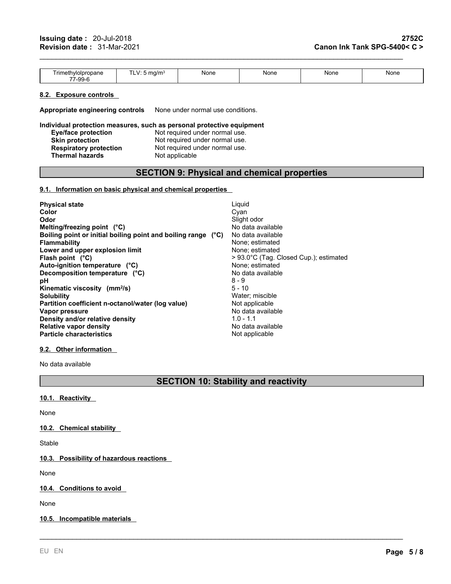| <b>rimeti</b><br>`ropane<br>hwnnr<br>$- -$<br>'-99- | ma/m- | None | None | None | None |
|-----------------------------------------------------|-------|------|------|------|------|
|-----------------------------------------------------|-------|------|------|------|------|

 $\mathcal{L}_\mathcal{L} = \mathcal{L}_\mathcal{L} = \mathcal{L}_\mathcal{L} = \mathcal{L}_\mathcal{L} = \mathcal{L}_\mathcal{L} = \mathcal{L}_\mathcal{L} = \mathcal{L}_\mathcal{L} = \mathcal{L}_\mathcal{L} = \mathcal{L}_\mathcal{L} = \mathcal{L}_\mathcal{L} = \mathcal{L}_\mathcal{L} = \mathcal{L}_\mathcal{L} = \mathcal{L}_\mathcal{L} = \mathcal{L}_\mathcal{L} = \mathcal{L}_\mathcal{L} = \mathcal{L}_\mathcal{L} = \mathcal{L}_\mathcal{L}$ 

#### **8.2. Exposure controls**

**Appropriate engineering controls** None under normal use conditions.

#### **Individual protection measures, such as personal protective equipment**

| <b>Eye/face protection</b>    | Not required under normal use. |
|-------------------------------|--------------------------------|
| Skin protection               | Not required under normal use. |
| <b>Respiratory protection</b> | Not required under normal use. |
| Thermal hazards               | Not applicable                 |

# **SECTION 9: Physical and chemical properties**

#### **9.1. Information on basic physical and chemical properties**

| <b>Physical state</b>                                         | Liquid                                 |
|---------------------------------------------------------------|----------------------------------------|
| Color                                                         | Cyan                                   |
| Odor                                                          | Slight odor                            |
| Melting/freezing point $(^{\circ}C)$                          | No data available                      |
| Boiling point or initial boiling point and boiling range (°C) | No data available                      |
| <b>Flammability</b>                                           | None: estimated                        |
| Lower and upper explosion limit                               | None: estimated                        |
| Flash point $(^{\circ}C)$                                     | > 93.0°C (Tag. Closed Cup.); estimated |
| Auto-ignition temperature (°C)                                | None: estimated                        |
| Decomposition temperature (°C)                                | No data available                      |
| рH                                                            | $8 - 9$                                |
| Kinematic viscosity (mm <sup>2</sup> /s)                      | $5 - 10$                               |
| <b>Solubility</b>                                             | Water: miscible                        |
| Partition coefficient n-octanol/water (log value)             | Not applicable                         |
| Vapor pressure                                                | No data available                      |
| Density and/or relative density                               | $1.0 - 1.1$                            |
| <b>Relative vapor density</b>                                 | No data available                      |
| <b>Particle characteristics</b>                               | Not applicable                         |

## **9.2. Other information**

No data available

# **SECTION 10: Stability and reactivity**

\_\_\_\_\_\_\_\_\_\_\_\_\_\_\_\_\_\_\_\_\_\_\_\_\_\_\_\_\_\_\_\_\_\_\_\_\_\_\_\_\_\_\_\_\_\_\_\_\_\_\_\_\_\_\_\_\_\_\_\_\_\_\_\_\_\_\_\_\_\_\_\_\_\_\_\_\_\_\_\_\_\_\_\_\_\_\_\_\_

### **10.1. Reactivity**

None

**10.2. Chemical stability**

Stable

## **10.3. Possibility of hazardous reactions**

None

**10.4. Conditions to avoid**

None

## **10.5. Incompatible materials**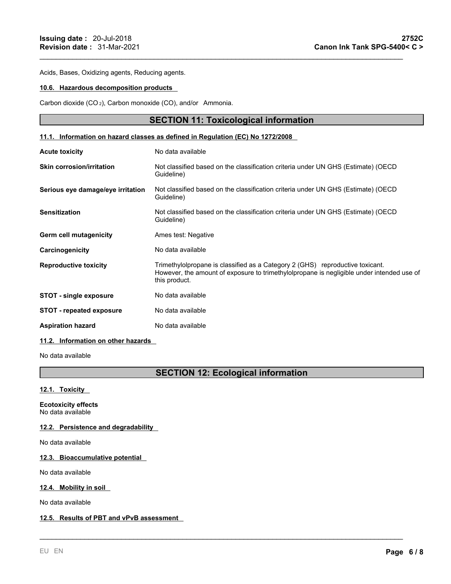Acids, Bases, Oxidizing agents, Reducing agents.

#### **10.6. Hazardous decomposition products**

Carbon dioxide (CO <sup>2</sup>), Carbon monoxide (CO), and/or Ammonia.

## **SECTION 11: Toxicological information**

 $\mathcal{L}_\mathcal{L} = \mathcal{L}_\mathcal{L} = \mathcal{L}_\mathcal{L} = \mathcal{L}_\mathcal{L} = \mathcal{L}_\mathcal{L} = \mathcal{L}_\mathcal{L} = \mathcal{L}_\mathcal{L} = \mathcal{L}_\mathcal{L} = \mathcal{L}_\mathcal{L} = \mathcal{L}_\mathcal{L} = \mathcal{L}_\mathcal{L} = \mathcal{L}_\mathcal{L} = \mathcal{L}_\mathcal{L} = \mathcal{L}_\mathcal{L} = \mathcal{L}_\mathcal{L} = \mathcal{L}_\mathcal{L} = \mathcal{L}_\mathcal{L}$ 

#### **11.1. Information on hazard classes as defined in Regulation (EC) No 1272/2008**

| <b>Acute toxicity</b>              | No data available                                                                                                                                                                           |
|------------------------------------|---------------------------------------------------------------------------------------------------------------------------------------------------------------------------------------------|
| <b>Skin corrosion/irritation</b>   | Not classified based on the classification criteria under UN GHS (Estimate) (OECD<br>Guideline)                                                                                             |
| Serious eye damage/eye irritation  | Not classified based on the classification criteria under UN GHS (Estimate) (OECD<br>Guideline)                                                                                             |
| <b>Sensitization</b>               | Not classified based on the classification criteria under UN GHS (Estimate) (OECD<br>Guideline)                                                                                             |
| Germ cell mutagenicity             | Ames test: Negative                                                                                                                                                                         |
| Carcinogenicity                    | No data available                                                                                                                                                                           |
| <b>Reproductive toxicity</b>       | Trimethylolpropane is classified as a Category 2 (GHS) reproductive toxicant.<br>However, the amount of exposure to trimethylolpropane is negligible under intended use of<br>this product. |
| <b>STOT - single exposure</b>      | No data available                                                                                                                                                                           |
| <b>STOT</b> - repeated exposure    | No data available                                                                                                                                                                           |
| <b>Aspiration hazard</b>           | No data available                                                                                                                                                                           |
| 11.2. Information on other hazards |                                                                                                                                                                                             |

No data available

# **SECTION 12: Ecological information**

\_\_\_\_\_\_\_\_\_\_\_\_\_\_\_\_\_\_\_\_\_\_\_\_\_\_\_\_\_\_\_\_\_\_\_\_\_\_\_\_\_\_\_\_\_\_\_\_\_\_\_\_\_\_\_\_\_\_\_\_\_\_\_\_\_\_\_\_\_\_\_\_\_\_\_\_\_\_\_\_\_\_\_\_\_\_\_\_\_

**12.1. Toxicity**

**Ecotoxicity effects** No data available

## **12.2. Persistence and degradability**

No data available

#### **12.3. Bioaccumulative potential**

No data available

#### **12.4. Mobility in soil**

No data available

#### **12.5. Results of PBT and vPvB assessment**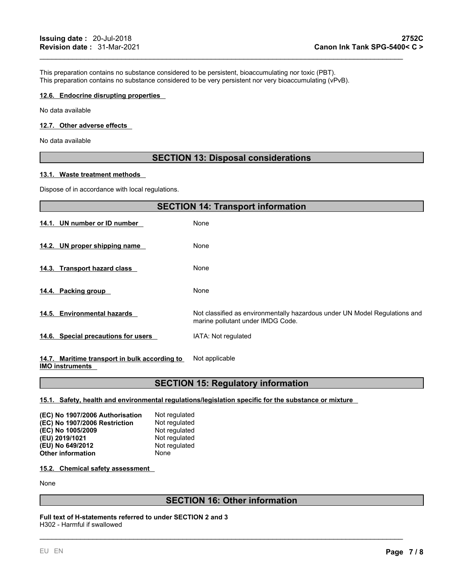This preparation contains no substance considered to be persistent, bioaccumulating nor toxic (PBT). This preparation contains no substance considered to be very persistent nor very bioaccumulating (vPvB).

#### **12.6. Endocrine disrupting properties**

No data available

#### **12.7. Other adverse effects**

No data available

# **SECTION 13: Disposal considerations**

 $\mathcal{L}_\mathcal{L} = \mathcal{L}_\mathcal{L} = \mathcal{L}_\mathcal{L} = \mathcal{L}_\mathcal{L} = \mathcal{L}_\mathcal{L} = \mathcal{L}_\mathcal{L} = \mathcal{L}_\mathcal{L} = \mathcal{L}_\mathcal{L} = \mathcal{L}_\mathcal{L} = \mathcal{L}_\mathcal{L} = \mathcal{L}_\mathcal{L} = \mathcal{L}_\mathcal{L} = \mathcal{L}_\mathcal{L} = \mathcal{L}_\mathcal{L} = \mathcal{L}_\mathcal{L} = \mathcal{L}_\mathcal{L} = \mathcal{L}_\mathcal{L}$ 

#### **13.1. Waste treatment methods**

Dispose of in accordance with local regulations.

|                                                                                                                                                                                               | <b>SECTION 14: Transport information</b>                                                                        |
|-----------------------------------------------------------------------------------------------------------------------------------------------------------------------------------------------|-----------------------------------------------------------------------------------------------------------------|
| 14.1. UN number or ID number                                                                                                                                                                  | None                                                                                                            |
| 14.2. UN proper shipping name                                                                                                                                                                 | None                                                                                                            |
| 14.3. Transport hazard class                                                                                                                                                                  | None                                                                                                            |
| 14.4. Packing group                                                                                                                                                                           | None                                                                                                            |
| 14.5. Environmental hazards                                                                                                                                                                   | Not classified as environmentally hazardous under UN Model Regulations and<br>marine pollutant under IMDG Code. |
| 14.6. Special precautions for users                                                                                                                                                           | IATA: Not regulated                                                                                             |
| 14.7. Maritime transport in bulk according to<br>$\mathbf{1}$ and $\mathbf{2}$ . The set of $\mathbf{3}$ and $\mathbf{4}$ and $\mathbf{5}$ and $\mathbf{6}$ and $\mathbf{7}$ and $\mathbf{8}$ | Not applicable                                                                                                  |

#### **IMO instruments**

# **SECTION 15: Regulatory information**

**15.1. Safety, health and environmental regulations/legislation specific for the substance or mixture**

| (EC) No 1907/2006 Authorisation | Not regulated |
|---------------------------------|---------------|
| (EC) No 1907/2006 Restriction   | Not regulated |
| (EC) No 1005/2009               | Not regulated |
| (EU) 2019/1021                  | Not regulated |
| (EU) No 649/2012                | Not regulated |
| <b>Other information</b>        | None          |

#### **15.2. Chemical safety assessment**

None

# **SECTION 16: Other information**

\_\_\_\_\_\_\_\_\_\_\_\_\_\_\_\_\_\_\_\_\_\_\_\_\_\_\_\_\_\_\_\_\_\_\_\_\_\_\_\_\_\_\_\_\_\_\_\_\_\_\_\_\_\_\_\_\_\_\_\_\_\_\_\_\_\_\_\_\_\_\_\_\_\_\_\_\_\_\_\_\_\_\_\_\_\_\_\_\_

**Full text of H-statements referred to underSECTION 2 and 3** H302 - Harmful if swallowed